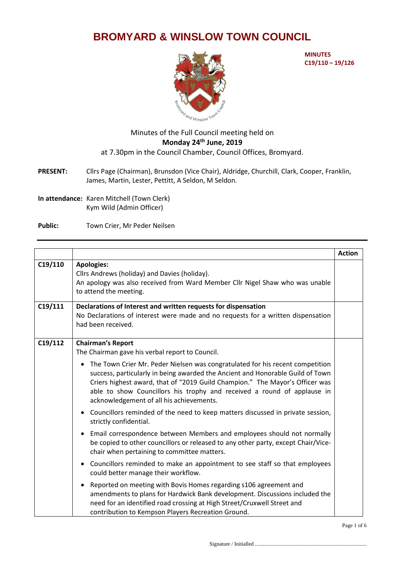## **BROMYARD & WINSLOW TOWN COUNCIL**



**MINUTES C19/110 – 19/126**

## Minutes of the Full Council meeting held on **Monday 24 th June, 2019** at 7.30pm in the Council Chamber, Council Offices, Bromyard.

- **PRESENT:** Cllrs Page (Chairman), Brunsdon (Vice Chair), Aldridge, Churchill, Clark, Cooper, Franklin, James, Martin, Lester, Pettitt, A Seldon, M Seldon.
- **In attendance:** Karen Mitchell (Town Clerk) Kym Wild (Admin Officer)
- Public: Town Crier, Mr Peder Neilsen

|         |                                                                                                                                                                                                                                                                                                                                                                                     | <b>Action</b> |
|---------|-------------------------------------------------------------------------------------------------------------------------------------------------------------------------------------------------------------------------------------------------------------------------------------------------------------------------------------------------------------------------------------|---------------|
| C19/110 | <b>Apologies:</b><br>Cllrs Andrews (holiday) and Davies (holiday).<br>An apology was also received from Ward Member Cllr Nigel Shaw who was unable<br>to attend the meeting.                                                                                                                                                                                                        |               |
| C19/111 | Declarations of Interest and written requests for dispensation<br>No Declarations of interest were made and no requests for a written dispensation<br>had been received.                                                                                                                                                                                                            |               |
| C19/112 | <b>Chairman's Report</b><br>The Chairman gave his verbal report to Council.                                                                                                                                                                                                                                                                                                         |               |
|         | The Town Crier Mr. Peder Nielsen was congratulated for his recent competition<br>$\bullet$<br>success, particularly in being awarded the Ancient and Honorable Guild of Town<br>Criers highest award, that of "2019 Guild Champion." The Mayor's Officer was<br>able to show Councillors his trophy and received a round of applause in<br>acknowledgement of all his achievements. |               |
|         | • Councillors reminded of the need to keep matters discussed in private session,<br>strictly confidential.                                                                                                                                                                                                                                                                          |               |
|         | Email correspondence between Members and employees should not normally<br>$\bullet$<br>be copied to other councillors or released to any other party, except Chair/Vice-<br>chair when pertaining to committee matters.                                                                                                                                                             |               |
|         | • Councillors reminded to make an appointment to see staff so that employees<br>could better manage their workflow.                                                                                                                                                                                                                                                                 |               |
|         | Reported on meeting with Bovis Homes regarding s106 agreement and<br>$\bullet$<br>amendments to plans for Hardwick Bank development. Discussions included the<br>need for an identified road crossing at High Street/Cruxwell Street and<br>contribution to Kempson Players Recreation Ground.                                                                                      |               |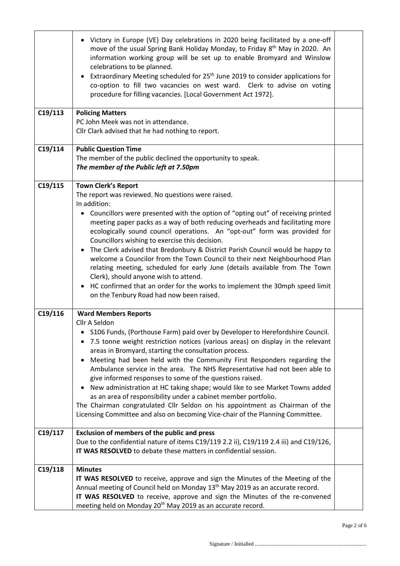|         | • Victory in Europe (VE) Day celebrations in 2020 being facilitated by a one-off<br>move of the usual Spring Bank Holiday Monday, to Friday 8 <sup>th</sup> May in 2020. An<br>information working group will be set up to enable Bromyard and Winslow<br>celebrations to be planned.<br>Extraordinary Meeting scheduled for 25 <sup>th</sup> June 2019 to consider applications for<br>co-option to fill two vacancies on west ward. Clerk to advise on voting<br>procedure for filling vacancies. [Local Government Act 1972].                                                                                                                                                                                                                                                                                          |  |
|---------|---------------------------------------------------------------------------------------------------------------------------------------------------------------------------------------------------------------------------------------------------------------------------------------------------------------------------------------------------------------------------------------------------------------------------------------------------------------------------------------------------------------------------------------------------------------------------------------------------------------------------------------------------------------------------------------------------------------------------------------------------------------------------------------------------------------------------|--|
| C19/113 | <b>Policing Matters</b><br>PC John Meek was not in attendance.<br>Cllr Clark advised that he had nothing to report.                                                                                                                                                                                                                                                                                                                                                                                                                                                                                                                                                                                                                                                                                                       |  |
| C19/114 | <b>Public Question Time</b><br>The member of the public declined the opportunity to speak.<br>The member of the Public left at 7.50pm                                                                                                                                                                                                                                                                                                                                                                                                                                                                                                                                                                                                                                                                                     |  |
| C19/115 | <b>Town Clerk's Report</b><br>The report was reviewed. No questions were raised.<br>In addition:<br>• Councillors were presented with the option of "opting out" of receiving printed<br>meeting paper packs as a way of both reducing overheads and facilitating more<br>ecologically sound council operations. An "opt-out" form was provided for<br>Councillors wishing to exercise this decision.<br>• The Clerk advised that Bredonbury & District Parish Council would be happy to<br>welcome a Councilor from the Town Council to their next Neighbourhood Plan<br>relating meeting, scheduled for early June (details available from The Town<br>Clerk), should anyone wish to attend.<br>HC confirmed that an order for the works to implement the 30mph speed limit<br>on the Tenbury Road had now been raised. |  |
| C19/116 | <b>Ward Members Reports</b><br>Cllr A Seldon<br>• S106 Funds, (Porthouse Farm) paid over by Developer to Herefordshire Council.<br>• 7.5 tonne weight restriction notices (various areas) on display in the relevant<br>areas in Bromyard, starting the consultation process.<br>Meeting had been held with the Community First Responders regarding the<br>Ambulance service in the area. The NHS Representative had not been able to<br>give informed responses to some of the questions raised.<br>New administration at HC taking shape; would like to see Market Towns added<br>as an area of responsibility under a cabinet member portfolio.<br>The Chairman congratulated Cllr Seldon on his appointment as Chairman of the<br>Licensing Committee and also on becoming Vice-chair of the Planning Committee.     |  |
| C19/117 | <b>Exclusion of members of the public and press</b><br>Due to the confidential nature of items C19/119 2.2 ii), C19/119 2.4 iii) and C19/126,<br>IT WAS RESOLVED to debate these matters in confidential session.                                                                                                                                                                                                                                                                                                                                                                                                                                                                                                                                                                                                         |  |
| C19/118 | <b>Minutes</b><br>IT WAS RESOLVED to receive, approve and sign the Minutes of the Meeting of the<br>Annual meeting of Council held on Monday 13 <sup>th</sup> May 2019 as an accurate record.<br>IT WAS RESOLVED to receive, approve and sign the Minutes of the re-convened<br>meeting held on Monday 20 <sup>th</sup> May 2019 as an accurate record.                                                                                                                                                                                                                                                                                                                                                                                                                                                                   |  |

Page 2 of 6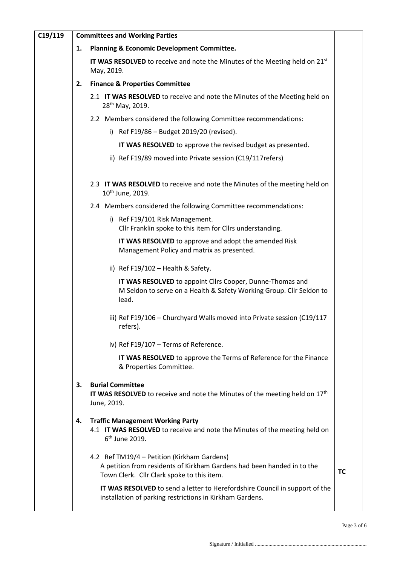| C19/119 | <b>Committees and Working Parties</b> |                                                                                                                                                                     |           |  |  |
|---------|---------------------------------------|---------------------------------------------------------------------------------------------------------------------------------------------------------------------|-----------|--|--|
|         | 1.                                    | Planning & Economic Development Committee.                                                                                                                          |           |  |  |
|         |                                       | IT WAS RESOLVED to receive and note the Minutes of the Meeting held on $21^{st}$<br>May, 2019.<br><b>Finance &amp; Properties Committee</b>                         |           |  |  |
|         | 2.                                    |                                                                                                                                                                     |           |  |  |
|         |                                       | 2.1 IT WAS RESOLVED to receive and note the Minutes of the Meeting held on<br>28 <sup>th</sup> May, 2019.                                                           |           |  |  |
|         |                                       | 2.2 Members considered the following Committee recommendations:                                                                                                     |           |  |  |
|         |                                       | i) Ref F19/86 - Budget 2019/20 (revised).                                                                                                                           |           |  |  |
|         |                                       | IT WAS RESOLVED to approve the revised budget as presented.                                                                                                         |           |  |  |
|         |                                       | ii) Ref F19/89 moved into Private session (C19/117 refers)                                                                                                          |           |  |  |
|         |                                       | 2.3 IT WAS RESOLVED to receive and note the Minutes of the meeting held on<br>10 <sup>th</sup> June, 2019.                                                          |           |  |  |
|         |                                       | 2.4 Members considered the following Committee recommendations:                                                                                                     |           |  |  |
|         |                                       | i) Ref F19/101 Risk Management.<br>Cllr Franklin spoke to this item for Cllrs understanding.                                                                        |           |  |  |
|         |                                       | IT WAS RESOLVED to approve and adopt the amended Risk<br>Management Policy and matrix as presented.                                                                 |           |  |  |
|         |                                       | ii) Ref $F19/102$ - Health & Safety.                                                                                                                                |           |  |  |
|         |                                       | IT WAS RESOLVED to appoint Cllrs Cooper, Dunne-Thomas and<br>M Seldon to serve on a Health & Safety Working Group. Cllr Seldon to<br>lead.                          |           |  |  |
|         |                                       | iii) Ref F19/106 - Churchyard Walls moved into Private session (C19/117<br>refers).                                                                                 |           |  |  |
|         |                                       | iv) Ref F19/107 - Terms of Reference.                                                                                                                               |           |  |  |
|         |                                       | IT WAS RESOLVED to approve the Terms of Reference for the Finance<br>& Properties Committee.                                                                        |           |  |  |
|         | 3.                                    | <b>Burial Committee</b><br><b>IT WAS RESOLVED</b> to receive and note the Minutes of the meeting held on $17th$<br>June, 2019.                                      |           |  |  |
|         | 4.                                    | <b>Traffic Management Working Party</b><br>4.1 IT WAS RESOLVED to receive and note the Minutes of the meeting held on<br>6 <sup>th</sup> June 2019.                 |           |  |  |
|         |                                       | 4.2 Ref TM19/4 – Petition (Kirkham Gardens)<br>A petition from residents of Kirkham Gardens had been handed in to the<br>Town Clerk. Cllr Clark spoke to this item. | <b>TC</b> |  |  |
|         |                                       | IT WAS RESOLVED to send a letter to Herefordshire Council in support of the<br>installation of parking restrictions in Kirkham Gardens.                             |           |  |  |

Page 3 of 6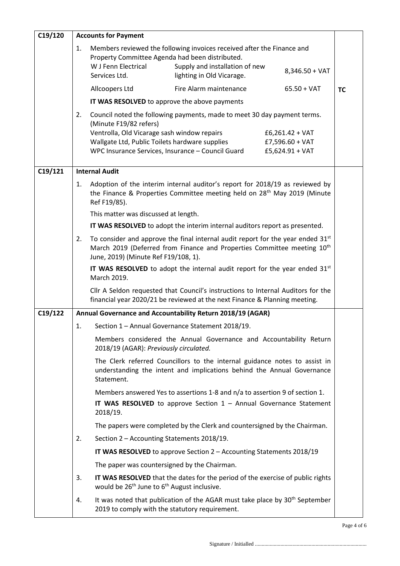| C19/120 | <b>Accounts for Payment</b>                                                                                                                                        |                                                                                                                                                                                                                                  |                                                                                                                                       |                                                           |           |
|---------|--------------------------------------------------------------------------------------------------------------------------------------------------------------------|----------------------------------------------------------------------------------------------------------------------------------------------------------------------------------------------------------------------------------|---------------------------------------------------------------------------------------------------------------------------------------|-----------------------------------------------------------|-----------|
|         | 1.                                                                                                                                                                 | Property Committee Agenda had been distributed.<br>W J Fenn Electrical<br>Services Ltd.                                                                                                                                          | Members reviewed the following invoices received after the Finance and<br>Supply and installation of new<br>lighting in Old Vicarage. | $8,346.50 + VAT$                                          |           |
|         |                                                                                                                                                                    | Allcoopers Ltd                                                                                                                                                                                                                   | Fire Alarm maintenance                                                                                                                | $65.50 + VAT$                                             | <b>TC</b> |
|         |                                                                                                                                                                    | IT WAS RESOLVED to approve the above payments                                                                                                                                                                                    |                                                                                                                                       |                                                           |           |
|         | 2.                                                                                                                                                                 | (Minute F19/82 refers)<br>Ventrolla, Old Vicarage sash window repairs<br>Wallgate Ltd, Public Toilets hardware supplies<br>WPC Insurance Services, Insurance - Council Guard                                                     | Council noted the following payments, made to meet 30 day payment terms.                                                              | $£6,261.42 + VAT$<br>$£7,596.60 + VAT$<br>£5,624.91 + VAT |           |
| C19/121 | <b>Internal Audit</b>                                                                                                                                              |                                                                                                                                                                                                                                  |                                                                                                                                       |                                                           |           |
|         | 1.                                                                                                                                                                 | Adoption of the interim internal auditor's report for 2018/19 as reviewed by<br>the Finance & Properties Committee meeting held on 28 <sup>th</sup> May 2019 (Minute<br>Ref F19/85).                                             |                                                                                                                                       |                                                           |           |
|         |                                                                                                                                                                    | This matter was discussed at length.                                                                                                                                                                                             |                                                                                                                                       |                                                           |           |
|         |                                                                                                                                                                    |                                                                                                                                                                                                                                  | IT WAS RESOLVED to adopt the interim internal auditors report as presented.                                                           |                                                           |           |
|         |                                                                                                                                                                    | To consider and approve the final internal audit report for the year ended 31 <sup>st</sup><br>2.<br>March 2019 (Deferred from Finance and Properties Committee meeting 10 <sup>th</sup><br>June, 2019) (Minute Ref F19/108, 1). |                                                                                                                                       |                                                           |           |
|         |                                                                                                                                                                    | IT WAS RESOLVED to adopt the internal audit report for the year ended 31st<br>March 2019.                                                                                                                                        |                                                                                                                                       |                                                           |           |
|         |                                                                                                                                                                    | Cllr A Seldon requested that Council's instructions to Internal Auditors for the<br>financial year 2020/21 be reviewed at the next Finance & Planning meeting.                                                                   |                                                                                                                                       |                                                           |           |
| C19/122 | Annual Governance and Accountability Return 2018/19 (AGAR)                                                                                                         |                                                                                                                                                                                                                                  |                                                                                                                                       |                                                           |           |
|         | 1.                                                                                                                                                                 | Section 1 - Annual Governance Statement 2018/19.                                                                                                                                                                                 |                                                                                                                                       |                                                           |           |
|         | Members considered the Annual Governance and Accountability Return<br>2018/19 (AGAR): Previously circulated.                                                       |                                                                                                                                                                                                                                  |                                                                                                                                       |                                                           |           |
|         | The Clerk referred Councillors to the internal guidance notes to assist in<br>understanding the intent and implications behind the Annual Governance<br>Statement. |                                                                                                                                                                                                                                  |                                                                                                                                       |                                                           |           |
|         |                                                                                                                                                                    |                                                                                                                                                                                                                                  | Members answered Yes to assertions 1-8 and n/a to assertion 9 of section 1.                                                           |                                                           |           |
|         |                                                                                                                                                                    | 2018/19.                                                                                                                                                                                                                         | IT WAS RESOLVED to approve Section $1 -$ Annual Governance Statement                                                                  |                                                           |           |
|         |                                                                                                                                                                    |                                                                                                                                                                                                                                  | The papers were completed by the Clerk and countersigned by the Chairman.                                                             |                                                           |           |
|         | 2.                                                                                                                                                                 | Section 2 - Accounting Statements 2018/19.                                                                                                                                                                                       |                                                                                                                                       |                                                           |           |
|         |                                                                                                                                                                    |                                                                                                                                                                                                                                  | IT WAS RESOLVED to approve Section 2 - Accounting Statements 2018/19                                                                  |                                                           |           |
|         |                                                                                                                                                                    | The paper was countersigned by the Chairman.                                                                                                                                                                                     |                                                                                                                                       |                                                           |           |
|         | 3.                                                                                                                                                                 | would be 26 <sup>th</sup> June to 6 <sup>th</sup> August inclusive.                                                                                                                                                              | IT WAS RESOLVED that the dates for the period of the exercise of public rights                                                        |                                                           |           |
|         | 4.                                                                                                                                                                 | 2019 to comply with the statutory requirement.                                                                                                                                                                                   | It was noted that publication of the AGAR must take place by 30 <sup>th</sup> September                                               |                                                           |           |

Page 4 of 6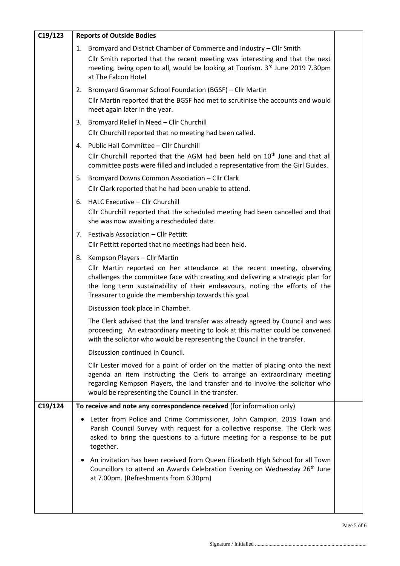| C19/123 | <b>Reports of Outside Bodies</b>                                                                                                                                                                                                                                                                                                      |  |  |  |
|---------|---------------------------------------------------------------------------------------------------------------------------------------------------------------------------------------------------------------------------------------------------------------------------------------------------------------------------------------|--|--|--|
|         | 1. Bromyard and District Chamber of Commerce and Industry - Cllr Smith<br>Cllr Smith reported that the recent meeting was interesting and that the next<br>meeting, being open to all, would be looking at Tourism. 3rd June 2019 7.30pm<br>at The Falcon Hotel                                                                       |  |  |  |
|         | 2. Bromyard Grammar School Foundation (BGSF) - Cllr Martin<br>Cllr Martin reported that the BGSF had met to scrutinise the accounts and would<br>meet again later in the year.                                                                                                                                                        |  |  |  |
|         | 3. Bromyard Relief In Need - Cllr Churchill<br>Cllr Churchill reported that no meeting had been called.                                                                                                                                                                                                                               |  |  |  |
|         | 4. Public Hall Committee - Cllr Churchill<br>Cllr Churchill reported that the AGM had been held on 10 <sup>th</sup> June and that all<br>committee posts were filled and included a representative from the Girl Guides.                                                                                                              |  |  |  |
|         | 5. Bromyard Downs Common Association - Cllr Clark<br>Cllr Clark reported that he had been unable to attend.                                                                                                                                                                                                                           |  |  |  |
|         | 6. HALC Executive - Cllr Churchill<br>Cllr Churchill reported that the scheduled meeting had been cancelled and that<br>she was now awaiting a rescheduled date.                                                                                                                                                                      |  |  |  |
|         | 7. Festivals Association - Cllr Pettitt<br>Cllr Pettitt reported that no meetings had been held.                                                                                                                                                                                                                                      |  |  |  |
|         | 8. Kempson Players - Cllr Martin<br>Cllr Martin reported on her attendance at the recent meeting, observing<br>challenges the committee face with creating and delivering a strategic plan for<br>the long term sustainability of their endeavours, noting the efforts of the<br>Treasurer to guide the membership towards this goal. |  |  |  |
|         | Discussion took place in Chamber.                                                                                                                                                                                                                                                                                                     |  |  |  |
|         | The Clerk advised that the land transfer was already agreed by Council and was<br>proceeding. An extraordinary meeting to look at this matter could be convened<br>with the solicitor who would be representing the Council in the transfer.                                                                                          |  |  |  |
|         | Discussion continued in Council.                                                                                                                                                                                                                                                                                                      |  |  |  |
|         | Cllr Lester moved for a point of order on the matter of placing onto the next<br>agenda an item instructing the Clerk to arrange an extraordinary meeting<br>regarding Kempson Players, the land transfer and to involve the solicitor who<br>would be representing the Council in the transfer.                                      |  |  |  |
| C19/124 | To receive and note any correspondence received (for information only)                                                                                                                                                                                                                                                                |  |  |  |
|         | • Letter from Police and Crime Commissioner, John Campion. 2019 Town and<br>Parish Council Survey with request for a collective response. The Clerk was<br>asked to bring the questions to a future meeting for a response to be put<br>together.                                                                                     |  |  |  |
|         | • An invitation has been received from Queen Elizabeth High School for all Town<br>Councillors to attend an Awards Celebration Evening on Wednesday 26 <sup>th</sup> June<br>at 7.00pm. (Refreshments from 6.30pm)                                                                                                                    |  |  |  |
|         |                                                                                                                                                                                                                                                                                                                                       |  |  |  |

Page 5 of 6